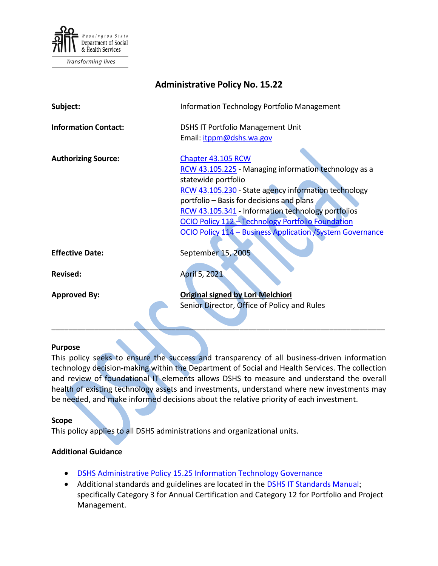

| <b>Administrative Policy No. 15.22</b> |                                                                                                                                                                                                                                                                                                                                                                                  |
|----------------------------------------|----------------------------------------------------------------------------------------------------------------------------------------------------------------------------------------------------------------------------------------------------------------------------------------------------------------------------------------------------------------------------------|
| Subject:                               | Information Technology Portfolio Management                                                                                                                                                                                                                                                                                                                                      |
| <b>Information Contact:</b>            | <b>DSHS IT Portfolio Management Unit</b><br>Email: itppm@dshs.wa.gov                                                                                                                                                                                                                                                                                                             |
| <b>Authorizing Source:</b>             | Chapter 43.105 RCW<br>RCW 43.105.225 - Managing information technology as a<br>statewide portfolio<br>RCW 43.105.230 - State agency information technology<br>portfolio – Basis for decisions and plans<br>RCW 43.105.341 - Information technology portfolios<br>OCIO Policy 112 - Technology Portfolio Foundation<br>OCIO Policy 114 - Business Application / System Governance |
| <b>Effective Date:</b>                 | September 15, 2005                                                                                                                                                                                                                                                                                                                                                               |
| <b>Revised:</b>                        | April 5, 2021                                                                                                                                                                                                                                                                                                                                                                    |
| <b>Approved By:</b>                    | <b>Original signed by Lori Melchiori</b><br>Senior Director, Office of Policy and Rules                                                                                                                                                                                                                                                                                          |

#### **Purpose**

This policy seeks to ensure the success and transparency of all business-driven information technology decision-making within the Department of Social and Health Services. The collection and review of foundational IT elements allows DSHS to measure and understand the overall health of existing technology assets and investments, understand where new investments may be needed, and make informed decisions about the relative priority of each investment.

\_\_\_\_\_\_\_\_\_\_\_\_\_\_\_\_\_\_\_\_\_\_\_\_\_\_\_\_\_\_\_\_\_\_\_\_\_\_\_\_\_\_\_\_\_\_\_\_\_\_\_\_\_\_\_\_\_\_\_\_\_\_\_\_\_\_\_\_\_\_\_\_\_\_\_\_\_\_

#### **Scope**

This policy applies to all DSHS administrations and organizational units.

#### **Additional Guidance**

- [DSHS Administrative Policy 15.25 Information Technology Governance](http://one.dshs.wa.lcl/Policies/Administrative/DSHS-AP-15-25.pdf)
- Additional standards and guidelines are located in the [DSHS IT Standards Manual](http://intra.dshs.wa.lcl/itstandards/categories.stm); specifically Category 3 for Annual Certification and Category 12 for Portfolio and Project Management.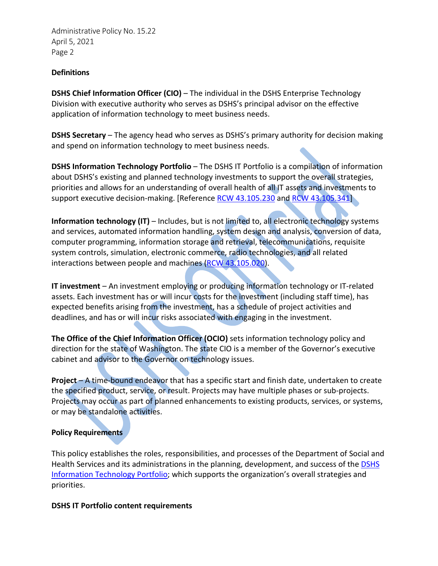Administrative Policy No. 15.22 April 5, 2021 Page 2

### **Definitions**

**DSHS Chief Information Officer (CIO)** – The individual in the DSHS Enterprise Technology Division with executive authority who serves as DSHS's principal advisor on the effective application of information technology to meet business needs.

**DSHS Secretary** – The agency head who serves as DSHS's primary authority for decision making and spend on information technology to meet business needs.

**DSHS Information Technology Portfolio** – The DSHS IT Portfolio is a compilation of information about DSHS's existing and planned technology investments to support the overall strategies, priorities and allows for an understanding of overall health of all IT assets and investments to support executive decision-making. [Reference [RCW 43.105.230](http://app.leg.wa.gov/RCW/default.aspx?cite=43.105.230) and [RCW 43.105.341\]](http://app.leg.wa.gov/RCW/default.aspx?cite=43.105.341)

**Information technology (IT)** – Includes, but is not limited to, all electronic technology systems and services, automated information handling, system design and analysis, conversion of data, computer programming, information storage and retrieval, telecommunications, requisite system controls, simulation, electronic commerce, radio technologies, and all related interactions between people and machines [\(RCW 43.105.020\)](https://app.leg.wa.gov/RCW/default.aspx?cite=43.105.020).

**IT investment** – An investment employing or producing information technology or IT-related assets. Each investment has or will incur costs for the investment (including staff time), has expected benefits arising from the investment, has a schedule of project activities and deadlines, and has or will incur risks associated with engaging in the investment.

**The Office of the Chief Information Officer (OCIO)** sets information technology policy and direction for the state of Washington. The state CIO is a member of the Governor's executive cabinet and advisor to the Governor on technology issues.

**Project** – A time-bound endeavor that has a specific start and finish date, undertaken to create the specified product, service, or result. Projects may have multiple phases or sub-projects. Projects may occur as part of planned enhancements to existing products, services, or systems, or may be standalone activities.

### **Policy Requirements**

This policy establishes the roles, responsibilities, and processes of the Department of Social and Health Services and its administrations in the planning, development, and success of th[e DSHS](http://one.dshs.wa.lcl/ET/Portfolio/Pages/PortfolioHome.aspx)  [Information Technology Portfolio;](http://one.dshs.wa.lcl/ET/Portfolio/Pages/PortfolioHome.aspx) which supports the organization's overall strategies and priorities.

### **DSHS IT Portfolio content requirements**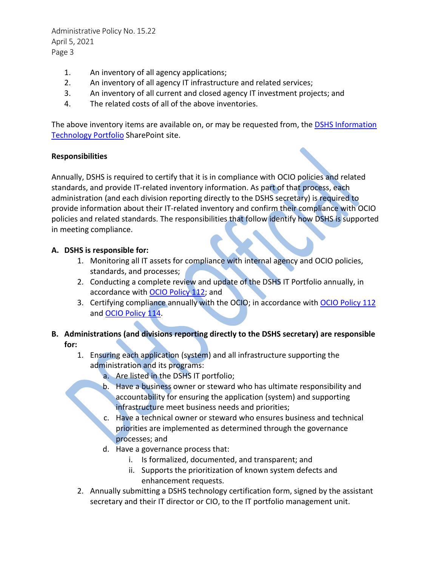Administrative Policy No. 15.22 April 5, 2021 Page 3

- 1. An inventory of all agency applications;
- 2. An inventory of all agency IT infrastructure and related services;
- 3. An inventory of all current and closed agency IT investment projects; and
- 4. The related costs of all of the above inventories.

The above inventory items are available on, or may be requested from, the DSHS Information [Technology Portfolio](http://one.dshs.wa.lcl/ET/Portfolio/Pages/PortfolioHome.aspx) SharePoint site.

### **Responsibilities**

Annually, DSHS is required to certify that it is in compliance with OCIO policies and related standards, and provide IT-related inventory information. As part of that process, each administration (and each division reporting directly to the DSHS secretary) is required to provide information about their IT-related inventory and confirm their compliance with OCIO policies and related standards. The responsibilities that follow identify how DSHS is supported in meeting compliance.

# **A. DSHS is responsible for:**

- 1. Monitoring all IT assets for compliance with internal agency and OCIO policies, standards, and processes;
- 2. Conducting a complete review and update of the DSHS IT Portfolio annually, in accordance with **OCIO Policy 112**; and
- 3. Certifying compliance annually with the OCIO; in accordance with [OCIO Policy 112](https://ocio.wa.gov/policy/technology-portfolio-foundation) and [OCIO Policy](https://ocio.wa.gov/policy/business-applicationsystem-governance) 114.

# **B. Administrations (and divisions reporting directly to the DSHS secretary) are responsible for:**

- 1. Ensuring each application (system) and all infrastructure supporting the administration and its programs:
	- a. Are listed in the DSHS IT portfolio;
	- b. Have a business owner or steward who has ultimate responsibility and accountability for ensuring the application (system) and supporting infrastructure meet business needs and priorities;
	- c. Have a technical owner or steward who ensures business and technical priorities are implemented as determined through the governance processes; and
	- d. Have a governance process that:
		- i. Is formalized, documented, and transparent; and
		- ii. Supports the prioritization of known system defects and enhancement requests.
- 2. Annually submitting a DSHS technology certification form, signed by the assistant secretary and their IT director or CIO, to the IT portfolio management unit.